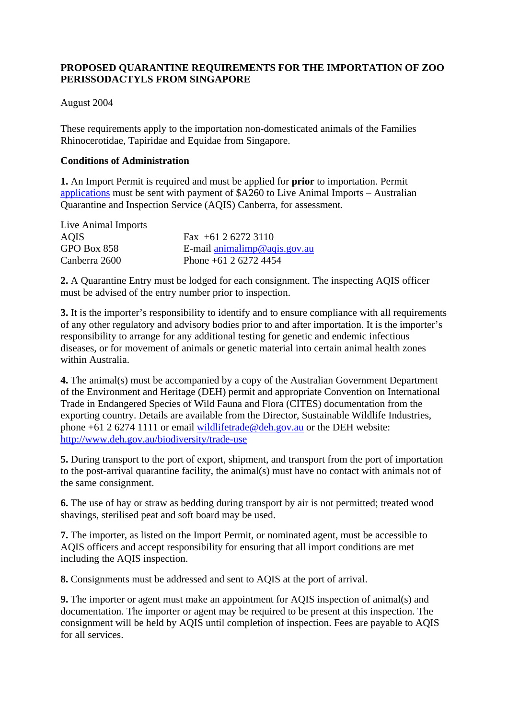# **PROPOSED QUARANTINE REQUIREMENTS FOR THE IMPORTATION OF ZOO PERISSODACTYLS FROM SINGAPORE**

### August 2004

These requirements apply to the importation non-domesticated animals of the Families Rhinocerotidae, Tapiridae and Equidae from Singapore.

#### **Conditions of Administration**

**1.** An Import Permit is required and must be applied for **prior** to importation. Permit applications must be sent with payment of \$A260 to Live Animal Imports – Australian Quarantine and Inspection Service (AQIS) Canberra, for assessment.

| Live Animal Imports |                                       |
|---------------------|---------------------------------------|
| <b>AQIS</b>         | Fax $+61262723110$                    |
| GPO Box 858         | E-mail $\text{animalimp@agis.gov.au}$ |
| Canberra 2600       | Phone $+61$ 2 6272 4454               |

**2.** A Quarantine Entry must be lodged for each consignment. The inspecting AQIS officer must be advised of the entry number prior to inspection.

**3.** It is the importer's responsibility to identify and to ensure compliance with all requirements of any other regulatory and advisory bodies prior to and after importation. It is the importer's responsibility to arrange for any additional testing for genetic and endemic infectious diseases, or for movement of animals or genetic material into certain animal health zones within Australia.

**4.** The animal(s) must be accompanied by a copy of the Australian Government Department of the Environment and Heritage (DEH) permit and appropriate Convention on International Trade in Endangered Species of Wild Fauna and Flora (CITES) documentation from the exporting country. Details are available from the Director, Sustainable Wildlife Industries, phone +61 2 6274 1111 or email wildlifetrade@deh.gov.au or the DEH website: http://www.deh.gov.au/biodiversity/trade-use

**5.** During transport to the port of export, shipment, and transport from the port of importation to the post-arrival quarantine facility, the animal(s) must have no contact with animals not of the same consignment.

**6.** The use of hay or straw as bedding during transport by air is not permitted; treated wood shavings, sterilised peat and soft board may be used.

**7.** The importer, as listed on the Import Permit, or nominated agent, must be accessible to AQIS officers and accept responsibility for ensuring that all import conditions are met including the AQIS inspection.

**8.** Consignments must be addressed and sent to AQIS at the port of arrival.

**9.** The importer or agent must make an appointment for AQIS inspection of animal(s) and documentation. The importer or agent may be required to be present at this inspection. The consignment will be held by AQIS until completion of inspection. Fees are payable to AQIS for all services.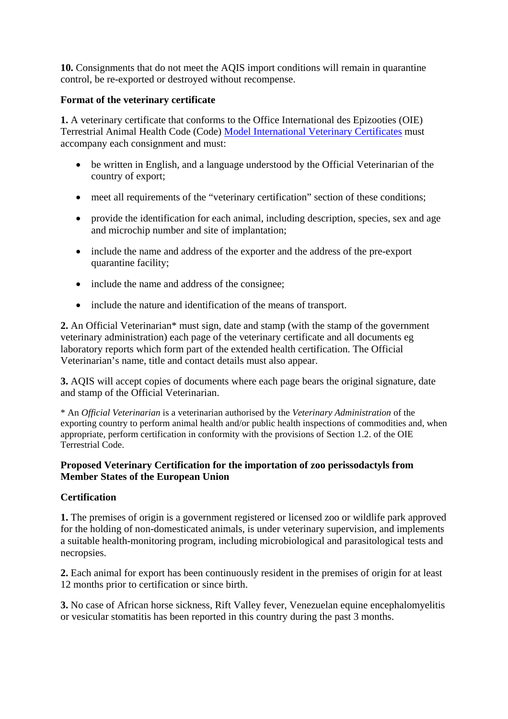**10.** Consignments that do not meet the AQIS import conditions will remain in quarantine control, be re-exported or destroyed without recompense.

### **Format of the veterinary certificate**

**1.** A veterinary certificate that conforms to the Office International des Epizooties (OIE) Terrestrial Animal Health Code (Code) Model International Veterinary Certificates must accompany each consignment and must:

- be written in English, and a language understood by the Official Veterinarian of the country of export;
- meet all requirements of the "veterinary certification" section of these conditions;
- provide the identification for each animal, including description, species, sex and age and microchip number and site of implantation;
- include the name and address of the exporter and the address of the pre-export quarantine facility;
- include the name and address of the consignee;
- include the nature and identification of the means of transport.

**2.** An Official Veterinarian\* must sign, date and stamp (with the stamp of the government veterinary administration) each page of the veterinary certificate and all documents eg laboratory reports which form part of the extended health certification. The Official Veterinarian's name, title and contact details must also appear.

**3.** AQIS will accept copies of documents where each page bears the original signature, date and stamp of the Official Veterinarian.

\* An *Official Veterinarian* is a veterinarian authorised by the *Veterinary Administration* of the exporting country to perform animal health and/or public health inspections of commodities and, when appropriate, perform certification in conformity with the provisions of Section 1.2. of the OIE Terrestrial Code.

#### **Proposed Veterinary Certification for the importation of zoo perissodactyls from Member States of the European Union**

## **Certification**

**1.** The premises of origin is a government registered or licensed zoo or wildlife park approved for the holding of non-domesticated animals, is under veterinary supervision, and implements a suitable health-monitoring program, including microbiological and parasitological tests and necropsies.

**2.** Each animal for export has been continuously resident in the premises of origin for at least 12 months prior to certification or since birth.

**3.** No case of African horse sickness, Rift Valley fever, Venezuelan equine encephalomyelitis or vesicular stomatitis has been reported in this country during the past 3 months.